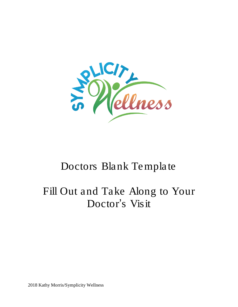

# Doctors Blank Template

# Fill Out and Take Along to Your Doctor's Visit

2018 Kathy Morris/Symplicity Wellness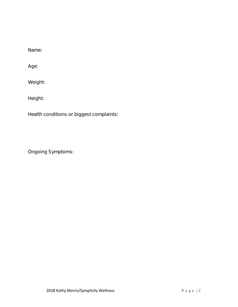Name:

Age:

Weight:

Height:

Health conditions or biggest complaints:

Ongoing Symptoms: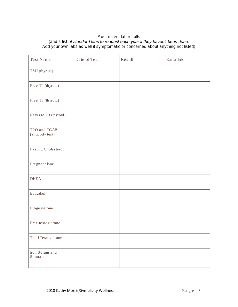### *Most recent lab results*

#### *(and a list of standard labs to request each year if they haven't been done.*

*Add your own labs as well if symptomatic or concerned about anything not listed)*

| Test Name                       | Date of Test | Result | Extra Info |
|---------------------------------|--------------|--------|------------|
| TSH (thyroid)                   |              |        |            |
| Free T4 (thyroid)               |              |        |            |
| Free T3 (thyroid)               |              |        |            |
| Reverse T3 (thyroid)            |              |        |            |
| TPO and TGAB<br>(antibody test) |              |        |            |
| Fasting Cholesterol             |              |        |            |
| Pregnenelone                    |              |        |            |
| <b>DHEA</b>                     |              |        |            |
| Estradiol                       |              |        |            |
| Progesterone                    |              |        |            |
| Free testosterone               |              |        |            |
| Total Testosterone              |              |        |            |
| Iron Serum and<br>Saturation    |              |        |            |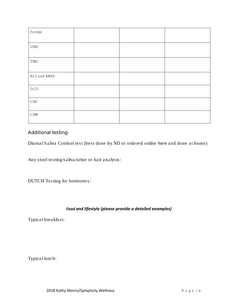| $\rm Fermi$                 |  |  |
|-----------------------------|--|--|
| ${\rm UIBC}$                |  |  |
| ${\rm TIRC}$                |  |  |
| B12 and MMA                 |  |  |
| $D-25$                      |  |  |
| CBC                         |  |  |
| $\ensuremath{\mathrm{CMP}}$ |  |  |

*Additional testing:*

Diurnal Saliva Cortisol test (best done by ND or ordered online [here](http://www.canaryclub.org/) and done at home)

Any stool testing/saliva/urine or hair analysis:

DUTCH Testing for hormones:

## *Food and lifestyle (please provide a detailed examples)*

Typical breakfast:

Typical lunch: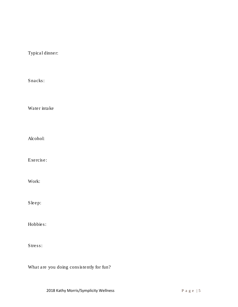Typical dinner:

Snacks:

Water intake

Alcohol:

Exercise:

Work:

Sleep:

Hobbies:

Stress:

What are you doing consistently for fun?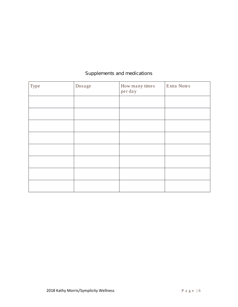| Type | Dosage | How many times<br>per day | Extra Notes |
|------|--------|---------------------------|-------------|
|      |        |                           |             |
|      |        |                           |             |
|      |        |                           |             |
|      |        |                           |             |
|      |        |                           |             |
|      |        |                           |             |
|      |        |                           |             |
|      |        |                           |             |

# *Supplements and medications*